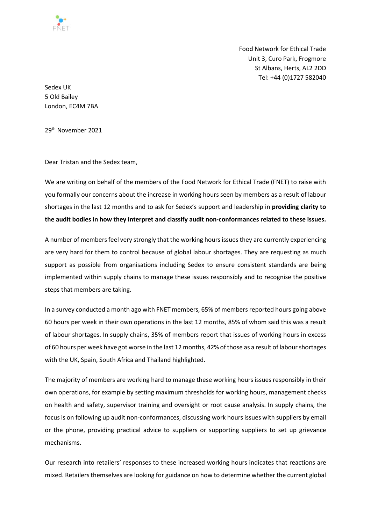

Food Network for Ethical Trade Unit 3, Curo Park, Frogmore St Albans, Herts, AL2 2DD Tel: +44 (0)1727 582040

Sedex UK 5 Old Bailey London, EC4M 7BA

29<sup>th</sup> November 2021

Dear Tristan and the Sedex team,

We are writing on behalf of the members of the Food Network for Ethical Trade (FNET) to raise with you formally our concerns about the increase in working hours seen by members as a result of labour shortages in the last 12 months and to ask for Sedex's support and leadership in **providing clarity to the audit bodies in how they interpret and classify audit non-conformances related to these issues.**

A number of members feel very strongly that the working hours issues they are currently experiencing are very hard for them to control because of global labour shortages. They are requesting as much support as possible from organisations including Sedex to ensure consistent standards are being implemented within supply chains to manage these issues responsibly and to recognise the positive steps that members are taking.

In a survey conducted a month ago with FNET members, 65% of members reported hours going above 60 hours per week in their own operations in the last 12 months, 85% of whom said this was a result of labour shortages. In supply chains, 35% of members report that issues of working hours in excess of 60 hours per week have got worse in the last 12 months, 42% of those as a result of labour shortages with the UK, Spain, South Africa and Thailand highlighted.

The majority of members are working hard to manage these working hours issues responsibly in their own operations, for example by setting maximum thresholds for working hours, management checks on health and safety, supervisor training and oversight or root cause analysis. In supply chains, the focus is on following up audit non-conformances, discussing work hours issues with suppliers by email or the phone, providing practical advice to suppliers or supporting suppliers to set up grievance mechanisms.

Our research into retailers' responses to these increased working hours indicates that reactions are mixed. Retailers themselves are looking for guidance on how to determine whether the current global